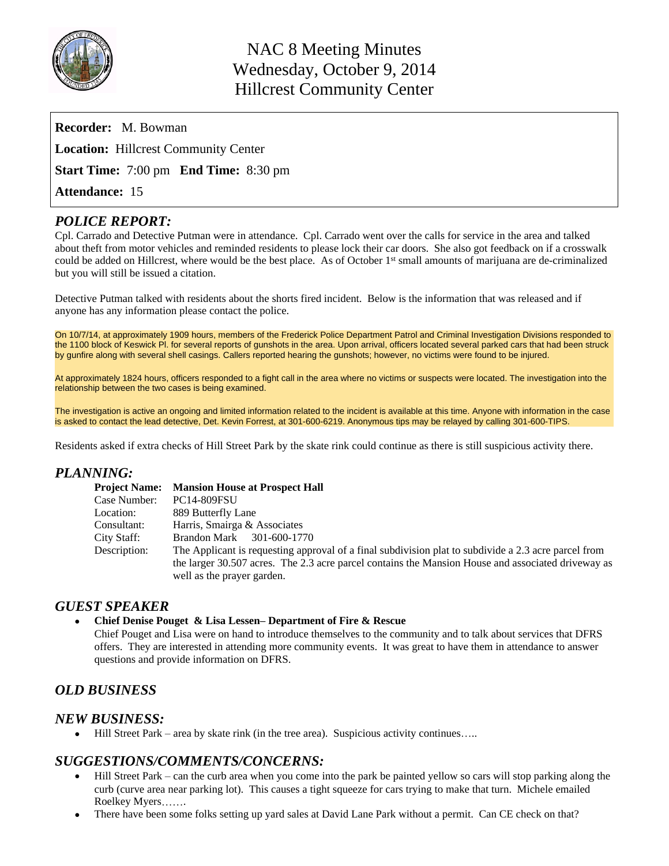

| <b>Recorder:</b> M. Bowman                                              |
|-------------------------------------------------------------------------|
| <b>Location:</b> Hillcrest Community Center                             |
| <b>Start Time:</b> $7:00 \text{ pm}$ <b>End Time:</b> $8:30 \text{ pm}$ |
| <b>Attendance: 15</b>                                                   |

## *POLICE REPORT:*

Cpl. Carrado and Detective Putman were in attendance. Cpl. Carrado went over the calls for service in the area and talked about theft from motor vehicles and reminded residents to please lock their car doors. She also got feedback on if a crosswalk could be added on Hillcrest, where would be the best place. As of October 1st small amounts of marijuana are de-criminalized but you will still be issued a citation.

Detective Putman talked with residents about the shorts fired incident. Below is the information that was released and if anyone has any information please contact the police.

On 10/7/14, at approximately 1909 hours, members of the Frederick Police Department Patrol and Criminal Investigation Divisions responded to the 1100 block of Keswick Pl. for several reports of gunshots in the area. Upon arrival, officers located several parked cars that had been struck by gunfire along with several shell casings. Callers reported hearing the gunshots; however, no victims were found to be injured.

At approximately 1824 hours, officers responded to a fight call in the area where no victims or suspects were located. The investigation into the relationship between the two cases is being examined.

The investigation is active an ongoing and limited information related to the incident is available at this time. Anyone with information in the case is asked to contact the lead detective, Det. Kevin Forrest, at 301-600-6219. Anonymous tips may be relayed by calling 301-600-TIPS.

Residents asked if extra checks of Hill Street Park by the skate rink could continue as there is still suspicious activity there.

#### *PLANNING:*

|              | <b>Project Name:</b> Mansion House at Prospect Hall                                                                                                                                                        |
|--------------|------------------------------------------------------------------------------------------------------------------------------------------------------------------------------------------------------------|
| Case Number: | <b>PC14-809FSU</b>                                                                                                                                                                                         |
| Location:    | 889 Butterfly Lane                                                                                                                                                                                         |
| Consultant:  | Harris, Smairga & Associates                                                                                                                                                                               |
| City Staff:  | Brandon Mark 301-600-1770                                                                                                                                                                                  |
| Description: | The Applicant is requesting approval of a final subdivision plat to subdivide a 2.3 acre parcel from<br>the larger 30.507 acres. The 2.3 acre parcel contains the Mansion House and associated driveway as |
|              | well as the prayer garden.                                                                                                                                                                                 |

#### *GUEST SPEAKER*

#### **Chief Denise Pouget & Lisa Lessen– Department of Fire & Rescue**

Chief Pouget and Lisa were on hand to introduce themselves to the community and to talk about services that DFRS offers. They are interested in attending more community events. It was great to have them in attendance to answer questions and provide information on DFRS.

## *OLD BUSINESS*

## *NEW BUSINESS:*

Hill Street Park – area by skate rink (in the tree area). Suspicious activity continues…..

#### *SUGGESTIONS/COMMENTS/CONCERNS:*

- Hill Street Park can the curb area when you come into the park be painted yellow so cars will stop parking along the curb (curve area near parking lot). This causes a tight squeeze for cars trying to make that turn. Michele emailed Roelkey Myers…….
- There have been some folks setting up yard sales at David Lane Park without a permit. Can CE check on that?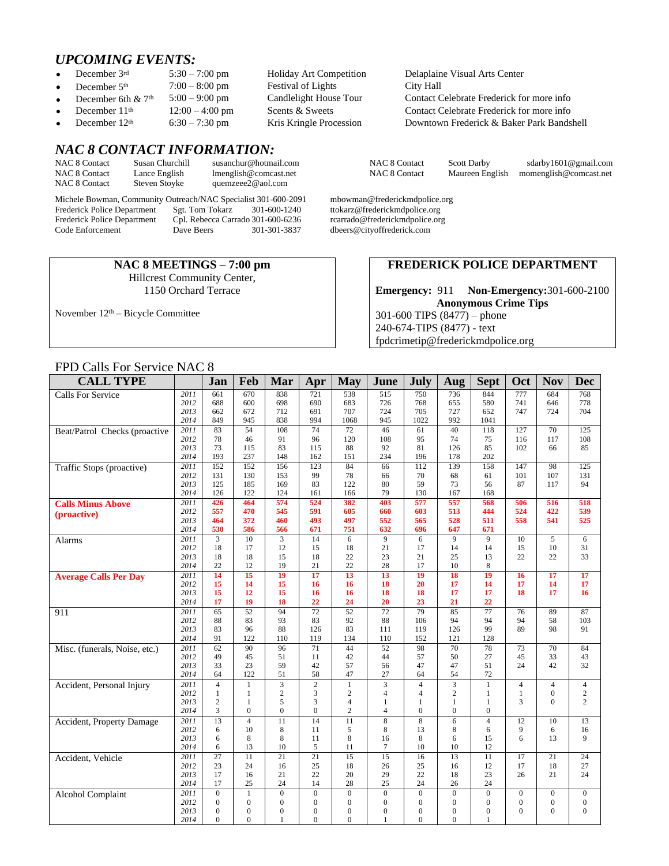# *UPCOMING EVENTS:*<br>• December 3rd 5:30 - 7:00 pm

- 
- 
- 
- 
- 

# *NAC 8 CONTACT INFORMATION:*

| <b>NAC 8 Contact</b> | Susan Churchill      | susanchur@hotmail.com |
|----------------------|----------------------|-----------------------|
| NAC 8 Contact        | Lance English        | lmenglish@comcast.net |
| NAC 8 Contact        | <b>Steven Stoyke</b> | quemzeee2@aol.com     |

Michele Bowman, Community Outreach/NAC Specialist 301-600-2091 mbowman@frederickmdpolice.org<br>Frederick Police Department Sgt. Tom Tokarz 301-600-1240 ttokarz@frederickmdpolice.org Frederick Police Department Sgt. Tom Tokarz 301-600-1240 ttokarz@frederickmdpolice.org<br>Frederick Police Department Cpl. Rebecca Carrado 301-600-6236 rcarrado@frederickmdpolice.org Frederick Police Department Cpl. Rebecca Carrado 301-600-6236<br>Code Enforcement Dave Beers 301-301-3837 Code Enforcement Dave Beers 301-301-3837 dbeers@cityoffrederick.com

#### **NAC 8 MEETINGS – 7:00 pm** Hillcrest Community Center, 1150 Orchard Terrace

November 12th – Bicycle Committee

December 5<sup>th</sup>  $7:00-8:00 \text{ pm}$  Festival of Lights City Hall<br>December 6th & 7<sup>th</sup>  $5:00-9:00 \text{ pm}$  Candlelight House Tour Contact C

5:30 – 7:00 pm Holiday Art Competition Delaplaine Visual Arts Center<br>7:00 – 8:00 pm Festival of Lights City Hall December 6th & 7<sup>th</sup> 5:00 – 9:00 pm Candlelight House Tour Contact Celebrate Frederick for more info<br>December 11<sup>th</sup> 12:00 – 4:00 pm Scents & Sweets Contact Celebrate Frederick for more info December 11<sup>th</sup> 12:00 – 4:00 pm Scents & Sweets Contact Celebrate Frederick for more info<br>December 12<sup>th</sup> 6:30 – 7:30 pm Kris Kringle Procession Downtown Frederick & Baker Park Bands 6:30 – 7:30 pm Kris Kringle Procession Downtown Frederick & Baker Park Bandshell

NAC 8 Contact Scott Darby sdarby 1601@gmail.com NAC 8 Contact Maureen English momenglish@comcast.net [momenglish@comcast.net](mailto:momenglish@comcast.net)

#### **FREDERICK POLICE DEPARTMENT**

**Emergency:** 911 **Non-Emergency:**301-600-2100 **Anonymous Crime Tips** 301-600 TIPS (8477) – phone 240-674-TIPS (8477) - text [fpdcrimetip@frederickmdpolice.org](mailto:fpdcrimetip@frederickmdpolice.org)

#### FPD Calls For Service NAC 8

| <b>CALL TYPE</b>              |              | Jan             | Feb                   | Mar             | Apr                   | May                   | June                   | July                    | Aug                   | <b>Sept</b>     | Oct             | <b>Nov</b>       | <b>Dec</b>       |
|-------------------------------|--------------|-----------------|-----------------------|-----------------|-----------------------|-----------------------|------------------------|-------------------------|-----------------------|-----------------|-----------------|------------------|------------------|
| <b>Calls For Service</b>      | 2011         | 661             | 670                   | 838             | 721                   | 538                   | $\overline{515}$       | 750                     | 736                   | 844             | 777             | 684              | 768              |
|                               | 2012         | 688             | 600                   | 698             | 690                   | 683                   | 726                    | 768                     | 655                   | 580             | 741             | 646              | 778              |
|                               | 2013         | 662             | 672                   | 712             | 691                   | 707                   | 724                    | 705                     | 727                   | 652             | 747             | 724              | 704              |
|                               | 2014         | 849             | 945                   | 838             | 994                   | 1068                  | 945                    | 1022                    | 992                   | 1041            |                 |                  |                  |
| Beat/Patrol Checks (proactive | 2011         | 83              | 54                    | 108             | 74                    | 72                    | 46                     | 61                      | 40                    | 118             | 127             | 70               | 125              |
|                               | 2012         | 78              | 46                    | 91              | 96                    | 120                   | 108                    | 95                      | 74                    | 75              | 116             | 117              | 108              |
|                               | 2013         | 73              | 115<br>237            | 83              | 115                   | 88                    | 92                     | 81                      | 126                   | 85<br>202       | 102             | 66               | 85               |
|                               | 2014<br>2011 | 193<br>152      | 152                   | 148<br>156      | 162<br>123            | 151<br>84             | 234<br>$\overline{66}$ | 196<br>112              | 178<br>139            | 158             | 147             | $\overline{98}$  | 125              |
| Traffic Stops (proactive)     | 2012         | 131             | 130                   | 153             | 99                    | 78                    | 66                     | 70                      | 68                    | 61              | 101             | 107              | 131              |
|                               | 2013         | 125             | 185                   | 169             | 83                    | 122                   | 80                     | 59                      | 73                    | 56              | 87              | 117              | 94               |
|                               | 2014         | 126             | 122                   | 124             | 161                   | 166                   | 79                     | 130                     | 167                   | 168             |                 |                  |                  |
| <b>Calls Minus Above</b>      | 2011         | 426             | 464                   | 574             | 524                   | 382                   | 403                    | 577                     | 557                   | 568             | 506             | 516              | 518              |
| (proactive)                   | 2012         | 557             | 470                   | 545             | 591                   | 605                   | 660                    | 603                     | 513                   | 444             | 524             | 422              | 539              |
|                               | 2013         | 464             | 372                   | 460             | 493                   | 497                   | 552                    | 565                     | 528                   | 511             | 558             | 541              | 525              |
|                               | 2014         | 530             | 586                   | 566             | 671                   | 751                   | 632                    | 696                     | 647                   | 671             |                 |                  |                  |
| Alarms                        | 2011         | $\overline{3}$  | 10                    | $\mathfrak{Z}$  | 14                    | 6                     | 9                      | 6                       | 9                     | 9               | 10              | 5                | 6                |
|                               | 2012         | 18              | 17                    | 12              | 15                    | 18                    | 21                     | 17                      | 14                    | 14              | 15              | 10               | 31               |
|                               | 2013         | 18              | 18                    | 15              | 18                    | 22                    | 23<br>28               | 21                      | 25                    | 13              | 22              | 22               | 33               |
|                               | 2014<br>2011 | 22<br>14        | 12<br>$\overline{15}$ | 19<br>19        | 21<br>$\overline{17}$ | 22<br>$\overline{13}$ | 13                     | 17<br>$\overline{19}$   | 10<br>$\overline{18}$ | 8<br>19         | 16              | $\overline{17}$  | 17               |
| <b>Average Calls Per Day</b>  | 2012         | 15              | 14                    | 15              | 16                    | 16                    | 18                     | 20                      | 17                    | 14              | 17              | 14               | 17               |
|                               | 2013         | 15              | 12                    | 15              | 16                    | 16                    | 18                     | 18                      | 17                    | 17              | 18              | 17               | 16               |
|                               | 2014         | 17              | 19                    | 18              | $\overline{22}$       | 24                    | 20                     | 23                      | 21                    | 22              |                 |                  |                  |
| 911                           | 2011         | 65              | 52                    | 94              | $\overline{72}$       | $\overline{52}$       | $\overline{72}$        | 79                      | 85                    | 77              | 76              | 89               | 87               |
|                               | 2012         | 88              | 83                    | 93              | 83                    | 92                    | 88                     | 106                     | 94                    | 94              | 94              | 58               | 103              |
|                               | 2013         | 83              | 96                    | 88              | 126                   | 83                    | 111                    | 119                     | 126                   | 99              | 89              | 98               | 91               |
|                               | 2014         | 91              | 122                   | 110             | 119                   | 134                   | 110                    | 152                     | 121                   | 128             |                 |                  |                  |
| Misc. (funerals, Noise, etc.) | 2011         | 62              | 90                    | $\overline{96}$ | 71                    | 44                    | $\overline{52}$        | $\overline{98}$         | 70                    | $\overline{78}$ | 73              | 70               | 84               |
|                               | 2012         | 49              | 45                    | 51              | 11                    | 42                    | 44                     | 57                      | 50                    | 27              | 45              | 33               | 43               |
|                               | 2013<br>2014 | 33<br>64        | 23<br>122             | 59<br>51        | 42<br>58              | 57<br>47              | 56<br>27               | 47<br>64                | 47<br>54              | 51<br>72        | 24              | 42               | 32               |
| Accident, Personal Injury     | 2011         | $\overline{4}$  | $\mathbf{1}$          | 3               | $\overline{c}$        | $\mathbf{1}$          | 3                      | $\overline{4}$          | $\overline{3}$        | $\mathbf{1}$    | $\overline{4}$  | $\overline{4}$   | $\overline{4}$   |
|                               | 2012         | $\mathbf{1}$    | $\mathbf{1}$          | $\mathbf{2}$    | 3                     | $\overline{c}$        | $\overline{4}$         | $\overline{4}$          | $\overline{c}$        | $\mathbf{1}$    | $\mathbf{1}$    | $\overline{0}$   | $\overline{c}$   |
|                               | 2013         | $\overline{c}$  | $\mathbf{1}$          | 5               | 3                     | $\overline{4}$        | $\mathbf{1}$           | 1                       | $\mathbf{1}$          | $\mathbf{1}$    | 3               | $\Omega$         | $\overline{c}$   |
|                               | 2014         | 3               | $\theta$              | $\overline{0}$  | $\overline{0}$        | $\mathbf{2}$          | $\overline{4}$         | $\overline{0}$          | $\Omega$              | $\mathbf{0}$    |                 |                  |                  |
| Accident, Property Damage     | 2011         | $\overline{13}$ | $\overline{4}$        | $\overline{11}$ | $\overline{14}$       | $\overline{11}$       | $\overline{8}$         | $\overline{\mathbf{8}}$ | 6                     | $\overline{4}$  | $\overline{12}$ | $\overline{10}$  | $\overline{13}$  |
|                               | 2012         | 6               | 10                    | 8               | 11                    | 5                     | 8                      | 13                      | 8                     | 6               | 9               | 6                | 16               |
|                               | 2013         | 6               | 8                     | 8               | 11                    | 8                     | 16                     | 8                       | 6                     | 15              | 6               | 13               | 9                |
|                               | 2014         | 6               | 13                    | 10              | 5                     | 11                    | $\tau$                 | 10                      | 10                    | 12              |                 |                  |                  |
| Accident, Vehicle             | 2011         | 27              | 11                    | 21              | 21                    | 15                    | 15                     | 16                      | 13                    | 11              | 17              | 21               | 24               |
|                               | 2012         | 23              | 24                    | 16              | 25                    | 18                    | 26                     | 25                      | 16                    | 12              | 17              | 18               | 27               |
|                               | 2013<br>2014 | 17<br>17        | 16<br>25              | 21<br>24        | 22<br>14              | 20<br>28              | 29<br>25               | 22<br>24                | 18<br>26              | 23<br>24        | 26              | 21               | 24               |
|                               | 2011         | $\Omega$        | $\mathbf{1}$          | $\mathbf{0}$    | $\overline{0}$        | $\mathbf{0}$          | $\mathbf{0}$           | $\overline{0}$          | $\Omega$              | $\mathbf{0}$    | $\mathbf{0}$    | $\boldsymbol{0}$ | $\mathbf{0}$     |
| <b>Alcohol Complaint</b>      | 2012         | $\theta$        | $\theta$              | $\overline{0}$  | $\overline{0}$        | $\mathbf{0}$          | $\overline{0}$         | $\overline{0}$          | $\theta$              | $\mathbf{0}$    | $\mathbf{0}$    | $\boldsymbol{0}$ | $\boldsymbol{0}$ |
|                               | 2013         | $\theta$        | $\theta$              | $\overline{0}$  | $\overline{0}$        | $\mathbf{0}$          | $\mathbf{0}$           | $\mathbf{0}$            | $\Omega$              | $\mathbf{0}$    | $\Omega$        | $\Omega$         | $\Omega$         |
|                               | 2014         | $\Omega$        | $\Omega$              | 1               | $\Omega$              | $\Omega$              | $\mathbf{1}$           | $\Omega$                | $\Omega$              | 1               |                 |                  |                  |
|                               |              |                 |                       |                 |                       |                       |                        |                         |                       |                 |                 |                  |                  |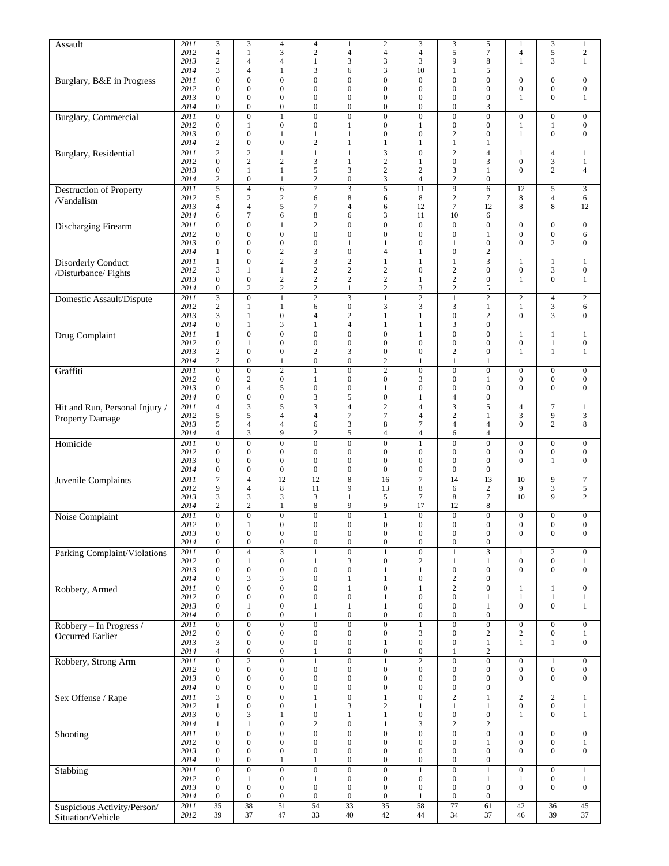| Assault                                      | 2011         | 3                                  | 3                                    | $\overline{4}$                       | 4                                         | $\mathbf{1}$                         | $\overline{c}$                              | 3                                    | 3                                    | 5                                           | 1                                    | $\mathfrak{Z}$                       | $\mathbf{1}$                       |
|----------------------------------------------|--------------|------------------------------------|--------------------------------------|--------------------------------------|-------------------------------------------|--------------------------------------|---------------------------------------------|--------------------------------------|--------------------------------------|---------------------------------------------|--------------------------------------|--------------------------------------|------------------------------------|
|                                              | 2012         | $\overline{4}$                     | 1                                    | 3                                    | $\overline{c}$                            | $\overline{4}$                       | 4                                           | $\overline{4}$                       | 5                                    | $\boldsymbol{7}$                            | $\overline{4}$                       | $\sqrt{5}$                           | $\sqrt{2}$                         |
|                                              | 2013<br>2014 | $\overline{c}$<br>3                | $\overline{4}$<br>4                  | $\overline{4}$<br>$\mathbf{1}$       | $\mathbf{1}$<br>3                         | 3<br>6                               | 3<br>3                                      | 3<br>10                              | 9<br>1                               | 8<br>5                                      | 1                                    | 3                                    | $\mathbf{1}$                       |
| Burglary, B&E in Progress                    | 2011         | $\mathbf{0}$                       | $\mathbf{0}$                         | $\boldsymbol{0}$                     | $\overline{0}$                            | $\boldsymbol{0}$                     | $\overline{0}$                              | $\overline{0}$                       | $\mathbf{0}$                         | $\boldsymbol{0}$                            | $\overline{0}$                       | $\boldsymbol{0}$                     | $\boldsymbol{0}$                   |
|                                              | 2012         | $\mathbf{0}$                       | $\mathbf{0}$                         | $\boldsymbol{0}$                     | $\overline{0}$                            | $\boldsymbol{0}$                     | $\boldsymbol{0}$                            | $\mathbf{0}$                         | $\mathbf{0}$                         | $\boldsymbol{0}$                            | $\mathbf{0}$                         | $\boldsymbol{0}$                     | $\boldsymbol{0}$                   |
|                                              | 2013<br>2014 | $\mathbf{0}$<br>$\mathbf{0}$       | $\mathbf{0}$<br>$\mathbf{0}$         | $\boldsymbol{0}$<br>$\boldsymbol{0}$ | $\boldsymbol{0}$<br>$\overline{0}$        | $\boldsymbol{0}$<br>$\boldsymbol{0}$ | $\boldsymbol{0}$<br>$\boldsymbol{0}$        | $\mathbf{0}$<br>$\mathbf{0}$         | $\mathbf{0}$<br>$\mathbf{0}$         | $\boldsymbol{0}$<br>3                       | 1                                    | $\mathbf{0}$                         | $\mathbf{1}$                       |
| <b>Burglary</b> , Commercial                 | 2011         | $\boldsymbol{0}$                   | $\boldsymbol{0}$                     | $\mathbf{1}$                         | $\overline{0}$                            | $\overline{0}$                       | $\overline{0}$                              | $\mathbf{0}$                         | $\boldsymbol{0}$                     | $\overline{0}$                              | $\boldsymbol{0}$                     | $\boldsymbol{0}$                     | $\mathbf{0}$                       |
|                                              | 2012         | $\mathbf{0}$                       | 1                                    | $\mathbf{0}$                         | $\boldsymbol{0}$                          | $\mathbf{1}$                         | $\mathbf{0}$                                | $\mathbf{1}$                         | $\mathbf{0}$                         | $\boldsymbol{0}$                            | 1                                    | $\mathbf{1}$                         | $\boldsymbol{0}$                   |
|                                              | 2013         | $\boldsymbol{0}$                   | $\boldsymbol{0}$                     | $\mathbf{1}$                         | $\mathbf{1}$                              | $\mathbf{1}$                         | $\boldsymbol{0}$                            | $\boldsymbol{0}$                     | $\overline{2}$                       | $\boldsymbol{0}$                            | $\mathbf{1}$                         | $\boldsymbol{0}$                     | $\mathbf{0}$                       |
| <b>Burglary</b> , Residential                | 2014<br>2011 | $\overline{c}$<br>$\overline{2}$   | $\boldsymbol{0}$<br>$\overline{2}$   | $\boldsymbol{0}$<br>$\mathbf{1}$     | $\overline{c}$<br>$\overline{1}$          | $\mathbf{1}$<br>$\mathbf{1}$         | 1<br>$\overline{\mathbf{3}}$                | $\mathbf{1}$<br>$\overline{0}$       | 1<br>$\overline{c}$                  | 1<br>$\overline{4}$                         | 1                                    | $\overline{4}$                       | $\mathbf{1}$                       |
|                                              | 2012         | $\mathbf{0}$                       | $\overline{c}$                       | $\overline{c}$                       | 3                                         | $\mathbf{1}$                         | $\sqrt{2}$                                  | $\mathbf{1}$                         | $\boldsymbol{0}$                     | 3                                           | $\boldsymbol{0}$                     | $\mathfrak{Z}$                       | $\mathbf{1}$                       |
|                                              | 2013         | $\mathbf{0}$                       | $\mathbf{1}$                         | $\mathbf{1}$                         | 5                                         | 3                                    | $\overline{c}$                              | $\sqrt{2}$                           | 3                                    | $\mathbf{1}$                                | $\theta$                             | $\sqrt{2}$                           | $\overline{\mathbf{4}}$            |
|                                              | 2014<br>2011 | $\overline{c}$<br>5                | $\boldsymbol{0}$<br>$\overline{4}$   | 1<br>$\sqrt{6}$                      | $\overline{c}$<br>7                       | $\boldsymbol{0}$<br>$\overline{3}$   | 3<br>5                                      | 4<br>11                              | $\overline{c}$<br>9                  | $\boldsymbol{0}$<br>6                       | 12                                   | $\overline{5}$                       | $\overline{3}$                     |
| <b>Destruction of Property</b><br>/Vandalism | 2012         | 5                                  | $\mathfrak{2}$                       | $\mathbf{2}$                         | 6                                         | 8                                    | 6                                           | 8                                    | $\overline{c}$                       | 7                                           | 8                                    | $\overline{4}$                       | 6                                  |
|                                              | 2013         | $\overline{4}$                     | $\overline{4}$                       | 5                                    | 7                                         | $\overline{4}$                       | 6                                           | 12                                   | $\overline{7}$                       | 12                                          | 8                                    | 8                                    | 12                                 |
|                                              | 2014         | 6                                  | 7                                    | 6                                    | 8                                         | 6                                    | 3                                           | 11                                   | 10                                   | 6                                           |                                      |                                      |                                    |
| <b>Discharging Firearm</b>                   | 2011<br>2012 | $\mathbf{0}$<br>$\mathbf{0}$       | $\overline{0}$<br>$\mathbf{0}$       | $\mathbf{1}$<br>$\mathbf{0}$         | $\overline{2}$<br>$\boldsymbol{0}$        | $\overline{0}$<br>$\boldsymbol{0}$   | $\overline{0}$<br>$\boldsymbol{0}$          | $\overline{0}$<br>$\mathbf{0}$       | $\mathbf{0}$<br>$\boldsymbol{0}$     | $\boldsymbol{0}$<br>$\mathbf{1}$            | $\boldsymbol{0}$<br>$\boldsymbol{0}$ | $\boldsymbol{0}$<br>$\boldsymbol{0}$ | $\mathbf{0}$<br>6                  |
|                                              | 2013         | $\mathbf{0}$                       | $\overline{0}$                       | $\overline{0}$                       | $\overline{0}$                            | $\mathbf{1}$                         | $\mathbf{1}$                                | $\overline{0}$                       | 1                                    | $\mathbf{0}$                                | $\theta$                             | $\overline{c}$                       | $\overline{0}$                     |
|                                              | 2014         | 1                                  | $\boldsymbol{0}$                     | $\overline{2}$                       | 3                                         | $\boldsymbol{0}$                     | $\overline{4}$                              | 1                                    | $\boldsymbol{0}$                     | $\boldsymbol{2}$                            |                                      |                                      |                                    |
| <b>Disorderly Conduct</b>                    | 2011<br>2012 | $\mathbf{1}$<br>3                  | $\boldsymbol{0}$                     | $\overline{2}$<br>$\mathbf{1}$       | $\overline{c}$                            | $\overline{2}$<br>$\overline{c}$     | $\mathbf{1}$<br>$\overline{c}$              | $\mathbf{1}$<br>$\boldsymbol{0}$     | 1<br>$\overline{c}$                  | $\overline{\mathbf{3}}$<br>$\boldsymbol{0}$ | 1<br>$\boldsymbol{0}$                | $\mathbf{1}$<br>$\mathfrak{Z}$       | 1<br>$\boldsymbol{0}$              |
| /Disturbance/ Fights                         | 2013         | $\mathbf{0}$                       | 1<br>$\mathbf{0}$                    | $\overline{2}$                       | $\overline{c}$                            | $\overline{c}$                       | $\overline{c}$                              | 1                                    | $\overline{c}$                       | $\boldsymbol{0}$                            | 1                                    | $\mathbf{0}$                         | $\mathbf{1}$                       |
|                                              | 2014         | $\mathbf{0}$                       | 2                                    | $\overline{c}$                       | $\overline{\mathbf{c}}$                   | $\mathbf{1}$                         | $\overline{\mathbf{c}}$                     | 3                                    | $\overline{c}$                       | 5                                           |                                      |                                      |                                    |
| Domestic Assault/Dispute                     | 2011         | $\overline{\mathbf{3}}$            | $\overline{0}$                       | $\mathbf{1}$                         | $\overline{2}$                            | $\overline{\mathbf{3}}$              | $\mathbf{1}$                                | $\overline{2}$                       | $\mathbf{1}$                         | $\overline{2}$                              | $\mathbf{2}$                         | $\overline{4}$                       | $\overline{2}$                     |
|                                              | 2012<br>2013 | $\overline{c}$<br>3                | 1<br>1                               | $\mathbf{1}$<br>$\boldsymbol{0}$     | 6<br>$\overline{4}$                       | $\boldsymbol{0}$<br>$\mathbf{2}$     | 3<br>$\mathbf{1}$                           | 3<br>$\mathbf{1}$                    | 3<br>$\mathbf{0}$                    | $\mathbf{1}$<br>$\overline{2}$              | 1<br>$\Omega$                        | $\mathfrak{Z}$<br>3                  | 6<br>$\boldsymbol{0}$              |
|                                              | 2014         | $\boldsymbol{0}$                   | $\mathbf{1}$                         | 3                                    | $\mathbf{1}$                              | $\overline{4}$                       | $\mathbf{1}$                                | $\mathbf{1}$                         | 3                                    | $\boldsymbol{0}$                            |                                      |                                      |                                    |
| <b>Drug Complaint</b>                        | 2011         | $\mathbf{1}$                       | $\overline{0}$                       | $\boldsymbol{0}$                     | $\overline{0}$                            | $\boldsymbol{0}$                     | $\mathbf{0}$                                | $\mathbf{1}$                         | $\overline{0}$                       | $\boldsymbol{0}$                            | 1                                    | $\mathbf{1}$                         | $\mathbf{1}$                       |
|                                              | 2012         | $\mathbf{0}$                       | 1                                    | $\boldsymbol{0}$                     | $\boldsymbol{0}$                          | $\boldsymbol{0}$                     | $\boldsymbol{0}$                            | $\boldsymbol{0}$                     | $\boldsymbol{0}$                     | $\boldsymbol{0}$                            | 0                                    | $\mathbf{1}$                         | $\mathbf{0}$                       |
|                                              | 2013<br>2014 | $\mathfrak{2}$<br>$\overline{c}$   | $\mathbf{0}$<br>$\overline{0}$       | $\boldsymbol{0}$<br>$\mathbf{1}$     | 2<br>$\overline{0}$                       | 3<br>$\overline{0}$                  | $\boldsymbol{0}$<br>$\overline{\mathbf{c}}$ | $\boldsymbol{0}$<br>$\mathbf{1}$     | $\overline{2}$<br>1                  | $\boldsymbol{0}$<br>1                       | 1                                    | $\mathbf{1}$                         | $\mathbf{1}$                       |
| Graffiti                                     | 2011         | $\mathbf{0}$                       | $\overline{0}$                       | $\overline{2}$                       | $\mathbf{1}$                              | $\overline{0}$                       | $\overline{2}$                              | $\mathbf{0}$                         | $\mathbf{0}$                         | $\overline{0}$                              | $\overline{0}$                       | $\overline{0}$                       | $\mathbf{0}$                       |
|                                              | 2012         | $\mathbf{0}$                       | $\overline{c}$                       | $\boldsymbol{0}$                     | 1                                         | $\boldsymbol{0}$                     | $\boldsymbol{0}$                            | 3                                    | $\boldsymbol{0}$                     | $\mathbf{1}$                                | $\boldsymbol{0}$                     | $\boldsymbol{0}$                     | $\boldsymbol{0}$                   |
|                                              | 2013<br>2014 | $\mathbf{0}$<br>$\boldsymbol{0}$   | $\overline{4}$<br>$\mathbf{0}$       | 5<br>$\boldsymbol{0}$                | $\overline{0}$<br>3                       | $\boldsymbol{0}$<br>5                | $\mathbf{1}$<br>$\mathbf{0}$                | $\mathbf{0}$<br>$\mathbf{1}$         | $\mathbf{0}$<br>$\overline{4}$       | $\boldsymbol{0}$<br>$\boldsymbol{0}$        | $\mathbf{0}$                         | $\boldsymbol{0}$                     | $\boldsymbol{0}$                   |
| Hit and Run, Personal Injury /               | 2011         | $\overline{4}$                     | 3                                    | 5                                    | 3                                         | $\overline{4}$                       | $\overline{c}$                              | $\overline{4}$                       | 3                                    | 5                                           | $\overline{4}$                       | $\boldsymbol{7}$                     | $\,1\,$                            |
| Property Damage                              | 2012         | 5                                  | 5                                    | $\overline{4}$                       | 4                                         | $\tau$                               | $\tau$                                      | $\overline{4}$                       | $\overline{2}$                       | $\mathbf{1}$                                | 3                                    | 9                                    | 3                                  |
|                                              | 2013         | 5                                  | $\overline{4}$                       | $\overline{4}$                       | 6                                         | 3                                    | 8                                           | $\tau$                               | $\overline{4}$                       | $\overline{4}$                              | $\overline{0}$                       | $\overline{c}$                       | 8                                  |
| Homicide                                     | 2014<br>2011 | 4<br>$\mathbf{0}$                  | 3<br>$\overline{0}$                  | 9<br>$\overline{0}$                  | $\overline{c}$<br>$\overline{0}$          | 5<br>$\overline{0}$                  | 4<br>$\overline{0}$                         | 4<br>$\mathbf{1}$                    | 6<br>$\mathbf{0}$                    | 4<br>$\overline{0}$                         | $\overline{0}$                       | $\overline{0}$                       | $\overline{0}$                     |
|                                              | 2012         | $\boldsymbol{0}$                   | $\mathbf{0}$                         | $\boldsymbol{0}$                     | $\boldsymbol{0}$                          | $\boldsymbol{0}$                     | $\boldsymbol{0}$                            | $\boldsymbol{0}$                     | $\mathbf{0}$                         | $\boldsymbol{0}$                            | $\mathbf{0}$                         | $\boldsymbol{0}$                     | $\boldsymbol{0}$                   |
|                                              | 2013         | $\mathbf{0}$                       | $\boldsymbol{0}$                     | $\boldsymbol{0}$                     | $\overline{0}$                            | $\boldsymbol{0}$                     | $\boldsymbol{0}$                            | $\mathbf{0}$                         | $\mathbf{0}$                         | $\boldsymbol{0}$                            | $\mathbf{0}$                         | $\mathbf{1}$                         | $\boldsymbol{0}$                   |
|                                              | 2014         | $\boldsymbol{0}$<br>$\overline{7}$ | $\boldsymbol{0}$<br>$\overline{4}$   | $\boldsymbol{0}$                     | $\boldsymbol{0}$<br>12                    | $\boldsymbol{0}$                     | $\boldsymbol{0}$                            | $\boldsymbol{0}$<br>7                | $\boldsymbol{0}$<br>14               | $\boldsymbol{0}$<br>13                      |                                      |                                      |                                    |
| Juvenile Complaints                          | 2011<br>2012 | 9                                  | $\overline{4}$                       | 12<br>8                              | 11                                        | 8<br>9                               | 16<br>13                                    | 8                                    | 6                                    | $\overline{2}$                              | 10<br>9                              | 9<br>3                               | $\boldsymbol{7}$<br>5              |
|                                              | 2013         | 3                                  | 3                                    | 3                                    | 3                                         | 1                                    | 5                                           | $\tau$                               | 8                                    | $\tau$                                      | 10                                   | 9                                    | $\overline{c}$                     |
|                                              | 2014         | 2                                  | 2                                    | 1                                    | 8                                         | 9                                    | 9                                           | 17                                   | 12                                   | 8                                           |                                      |                                      |                                    |
| Noise Complaint                              | 2011<br>2012 | $\boldsymbol{0}$<br>$\Omega$       | $\overline{0}$<br>1                  | $\overline{0}$<br>$\overline{0}$     | $\overline{0}$<br>$\overline{0}$          | $\overline{0}$<br>$\overline{0}$     | $\mathbf{1}$<br>$\overline{0}$              | $\mathbf{0}$<br>$\overline{0}$       | $\boldsymbol{0}$<br>$\Omega$         | $\overline{0}$<br>$\overline{0}$            | $\boldsymbol{0}$<br>$\theta$         | $\boldsymbol{0}$<br>$\mathbf{0}$     | $\boldsymbol{0}$<br>$\overline{0}$ |
|                                              | 2013         | $\boldsymbol{0}$                   | $\boldsymbol{0}$                     | $\boldsymbol{0}$                     | $\boldsymbol{0}$                          | $\boldsymbol{0}$                     | $\boldsymbol{0}$                            | $\boldsymbol{0}$                     | $\boldsymbol{0}$                     | $\boldsymbol{0}$                            | $\boldsymbol{0}$                     | $\boldsymbol{0}$                     | $\boldsymbol{0}$                   |
|                                              | 2014         | $\mathbf{0}$                       | $\boldsymbol{0}$                     | $\boldsymbol{0}$                     | $\boldsymbol{0}$                          | $\boldsymbol{0}$                     | $\boldsymbol{0}$                            | $\boldsymbol{0}$                     | $\boldsymbol{0}$                     | $\boldsymbol{0}$                            |                                      |                                      |                                    |
| Parking Complaint/Violations                 | 2011         | $\mathbf{0}$                       | $\overline{4}$                       | $\overline{\mathbf{3}}$              | $\mathbf{1}$                              | $\overline{0}$                       | $\mathbf{1}$                                | $\overline{0}$                       | $\mathbf{1}$                         | $\overline{3}$                              | 1                                    | $\overline{2}$                       | $\mathbf{0}$                       |
|                                              | 2012<br>2013 | $\mathbf{0}$<br>$\mathbf{0}$       | $\mathbf{1}$<br>$\boldsymbol{0}$     | $\boldsymbol{0}$<br>$\boldsymbol{0}$ | 1<br>$\boldsymbol{0}$                     | 3<br>$\boldsymbol{0}$                | $\boldsymbol{0}$<br>$\mathbf{1}$            | $\sqrt{2}$<br>$\mathbf{1}$           | $\mathbf{1}$<br>$\boldsymbol{0}$     | $\mathbf{1}$<br>$\boldsymbol{0}$            | $\boldsymbol{0}$<br>$\mathbf{0}$     | $\boldsymbol{0}$<br>$\boldsymbol{0}$ | $\mathbf{1}$<br>$\boldsymbol{0}$   |
|                                              | 2014         | $\mathbf{0}$                       | 3                                    | 3                                    | $\boldsymbol{0}$                          | $\mathbf{1}$                         | $\mathbf{1}$                                | $\boldsymbol{0}$                     | 2                                    | $\boldsymbol{0}$                            |                                      |                                      |                                    |
| Robbery, Armed                               | 2011         | $\mathbf{0}$                       | $\overline{0}$                       | $\overline{0}$                       | $\overline{0}$                            | $\,1\,$                              | $\overline{0}$                              | $\mathbf{1}$                         | $\overline{2}$                       | $\overline{0}$                              | $\mathbf{1}$                         | $\mathbf{1}$                         | $\boldsymbol{0}$                   |
|                                              | 2012<br>2013 | $\mathbf{0}$<br>$\mathbf{0}$       | $\boldsymbol{0}$<br>$\mathbf{1}$     | $\boldsymbol{0}$<br>$\boldsymbol{0}$ | $\boldsymbol{0}$<br>1                     | $\boldsymbol{0}$<br>$\mathbf{1}$     | $\mathbf{1}$<br>$\mathbf{1}$                | $\boldsymbol{0}$<br>$\boldsymbol{0}$ | $\boldsymbol{0}$<br>$\boldsymbol{0}$ | $\mathbf{1}$<br>$\mathbf{1}$                | 1<br>$\boldsymbol{0}$                | $\mathbf{1}$<br>$\boldsymbol{0}$     | $\mathbf{1}$<br>$\mathbf{1}$       |
|                                              | 2014         | $\boldsymbol{0}$                   | $\boldsymbol{0}$                     | $\boldsymbol{0}$                     | $\,1$                                     | $\boldsymbol{0}$                     | $\boldsymbol{0}$                            | $\boldsymbol{0}$                     | $\boldsymbol{0}$                     | $\boldsymbol{0}$                            |                                      |                                      |                                    |
| Robbery - In Progress /                      | 2011         | $\mathbf{0}$                       | $\overline{0}$                       | $\overline{0}$                       | $\overline{0}$                            | $\overline{0}$                       | $\overline{0}$                              | $\mathbf{1}$                         | $\overline{0}$                       | $\boldsymbol{0}$                            | $\boldsymbol{0}$                     | $\boldsymbol{0}$                     | $\boldsymbol{0}$                   |
| Occurred Earlier                             | 2012         | $\boldsymbol{0}$                   | $\boldsymbol{0}$<br>$\boldsymbol{0}$ | $\boldsymbol{0}$<br>$\mathbf{0}$     | $\boldsymbol{0}$                          | $\boldsymbol{0}$<br>$\boldsymbol{0}$ | $\boldsymbol{0}$                            | $\mathfrak{Z}$<br>$\boldsymbol{0}$   | $\boldsymbol{0}$                     | $\sqrt{2}$                                  | $\boldsymbol{2}$<br>1                | $\boldsymbol{0}$                     | $\mathbf{1}$<br>$\boldsymbol{0}$   |
|                                              | 2013<br>2014 | 3<br>$\overline{4}$                | $\boldsymbol{0}$                     | $\boldsymbol{0}$                     | $\boldsymbol{0}$<br>$\mathbf{1}$          | $\boldsymbol{0}$                     | $\mathbf{1}$<br>$\boldsymbol{0}$            | $\boldsymbol{0}$                     | $\boldsymbol{0}$<br>1                | $\,1$<br>$\sqrt{2}$                         |                                      | $\mathbf{1}$                         |                                    |
| Robbery, Strong Arm                          | 2011         | $\boldsymbol{0}$                   | $\overline{2}$                       | $\overline{0}$                       | $\mathbf{1}$                              | $\overline{0}$                       | $\,1$                                       | $\overline{2}$                       | $\boldsymbol{0}$                     | $\overline{0}$                              | $\boldsymbol{0}$                     | $\mathbf{1}$                         | $\boldsymbol{0}$                   |
|                                              | 2012         | $\mathbf{0}$                       | $\boldsymbol{0}$                     | $\boldsymbol{0}$                     | $\boldsymbol{0}$                          | $\boldsymbol{0}$                     | $\boldsymbol{0}$                            | $\boldsymbol{0}$                     | $\boldsymbol{0}$                     | $\boldsymbol{0}$                            | $\boldsymbol{0}$                     | $\boldsymbol{0}$                     | $\boldsymbol{0}$                   |
|                                              | 2013<br>2014 | $\mathbf{0}$<br>$\boldsymbol{0}$   | $\boldsymbol{0}$<br>$\boldsymbol{0}$ | $\boldsymbol{0}$<br>$\boldsymbol{0}$ | $\boldsymbol{0}$<br>$\boldsymbol{0}$      | $\boldsymbol{0}$<br>$\boldsymbol{0}$ | $\boldsymbol{0}$<br>$\boldsymbol{0}$        | $\boldsymbol{0}$<br>$\boldsymbol{0}$ | $\boldsymbol{0}$<br>$\boldsymbol{0}$ | $\boldsymbol{0}$<br>$\boldsymbol{0}$        | $\boldsymbol{0}$                     | $\boldsymbol{0}$                     | $\boldsymbol{0}$                   |
| Sex Offense / Rape                           | 2011         | $\overline{\mathbf{3}}$            | $\overline{0}$                       | $\overline{0}$                       | $\mathbf{1}$                              | $\overline{0}$                       | $\overline{1}$                              | $\overline{0}$                       | $\overline{2}$                       | $\,1$                                       | $\mathbf{2}$                         | $\overline{2}$                       | $\mathbf{1}$                       |
|                                              | 2012         | $\mathbf{1}$                       | $\boldsymbol{0}$                     | $\boldsymbol{0}$                     | $\mathbf{1}$                              | 3                                    | $\sqrt{2}$                                  | $\mathbf{1}$                         | $\mathbf{1}$                         | $\mathbf{1}$                                | $\boldsymbol{0}$                     | $\boldsymbol{0}$                     | $\mathbf{1}$                       |
|                                              | 2013         | $\mathbf{0}$                       | $\mathfrak{Z}$                       | $\mathbf{1}$                         | $\boldsymbol{0}$                          | $\mathbf{1}$                         | $\,1$                                       | $\boldsymbol{0}$                     | $\boldsymbol{0}$                     | $\boldsymbol{0}$                            | 1                                    | $\boldsymbol{0}$                     | $1\,$                              |
|                                              | 2014<br>2011 | $\mathbf{1}$<br>$\boldsymbol{0}$   | $\,1$<br>$\overline{0}$              | $\boldsymbol{0}$<br>$\overline{0}$   | $\overline{\mathbf{c}}$<br>$\overline{0}$ | $\boldsymbol{0}$<br>$\overline{0}$   | $\mathbf{1}$<br>$\overline{0}$              | $\mathfrak{Z}$<br>$\overline{0}$     | $\sqrt{2}$<br>$\boldsymbol{0}$       | $\sqrt{2}$<br>$\overline{0}$                | $\boldsymbol{0}$                     | $\overline{0}$                       | $\boldsymbol{0}$                   |
| Shooting                                     | 2012         | $\mathbf{0}$                       | $\boldsymbol{0}$                     | $\boldsymbol{0}$                     | $\boldsymbol{0}$                          | $\boldsymbol{0}$                     | $\boldsymbol{0}$                            | $\boldsymbol{0}$                     | $\boldsymbol{0}$                     | $\mathbf{1}$                                | $\boldsymbol{0}$                     | $\boldsymbol{0}$                     | $\mathbf{1}$                       |
|                                              | 2013         | $\mathbf{0}$                       | $\boldsymbol{0}$                     | $\boldsymbol{0}$                     | $\boldsymbol{0}$                          | $\boldsymbol{0}$                     | $\boldsymbol{0}$                            | $\boldsymbol{0}$                     | $\boldsymbol{0}$                     | $\boldsymbol{0}$                            | $\overline{0}$                       | $\boldsymbol{0}$                     | $\boldsymbol{0}$                   |
|                                              | 2014         | $\mathbf{0}$                       | $\boldsymbol{0}$                     | $\mathbf{1}$                         | $\mathbf{1}$                              | $\boldsymbol{0}$                     | $\boldsymbol{0}$                            | $\boldsymbol{0}$                     | $\boldsymbol{0}$                     | $\boldsymbol{0}$                            |                                      |                                      |                                    |
| Stabbing                                     | 2011<br>2012 | $\mathbf{0}$<br>$\mathbf{0}$       | $\overline{0}$<br>$\mathbf{1}$       | $\overline{0}$<br>$\boldsymbol{0}$   | $\overline{0}$<br>$\mathbf{1}$            | $\overline{0}$<br>$\boldsymbol{0}$   | $\overline{0}$<br>$\boldsymbol{0}$          | $\mathbf{1}$<br>$\boldsymbol{0}$     | $\boldsymbol{0}$<br>$\boldsymbol{0}$ | $\mathbf{1}$<br>$\mathbf{1}$                | $\boldsymbol{0}$<br>1                | $\boldsymbol{0}$<br>$\boldsymbol{0}$ | $\mathbf{1}$<br>$\mathbf{1}$       |
|                                              | 2013         | $\boldsymbol{0}$                   | $\boldsymbol{0}$                     | $\boldsymbol{0}$                     | $\boldsymbol{0}$                          | $\boldsymbol{0}$                     | $\boldsymbol{0}$                            | $\boldsymbol{0}$                     | $\boldsymbol{0}$                     | $\boldsymbol{0}$                            | $\overline{0}$                       | $\boldsymbol{0}$                     | $\boldsymbol{0}$                   |
|                                              | 2014         | $\mathbf{0}$                       | $\boldsymbol{0}$                     | $\boldsymbol{0}$                     | $\boldsymbol{0}$                          | $\boldsymbol{0}$                     | $\boldsymbol{0}$                            | $\mathbf{1}$                         | $\boldsymbol{0}$                     | $\boldsymbol{0}$                            |                                      |                                      |                                    |
| Suspicious Activity/Person/                  | 2011         | $\overline{35}$                    | $\overline{38}$                      | $\overline{51}$                      | $\overline{54}$                           | $\overline{33}$                      | $\overline{35}$                             | $\overline{58}$                      | $\overline{77}$                      | 61                                          | $\overline{42}$                      | $\overline{36}$                      | 45                                 |
| Situation/Vehicle                            | 2012         | 39                                 | 37                                   | 47                                   | 33                                        | 40                                   | 42                                          | 44                                   | 34                                   | 37                                          | 46                                   | 39                                   | 37                                 |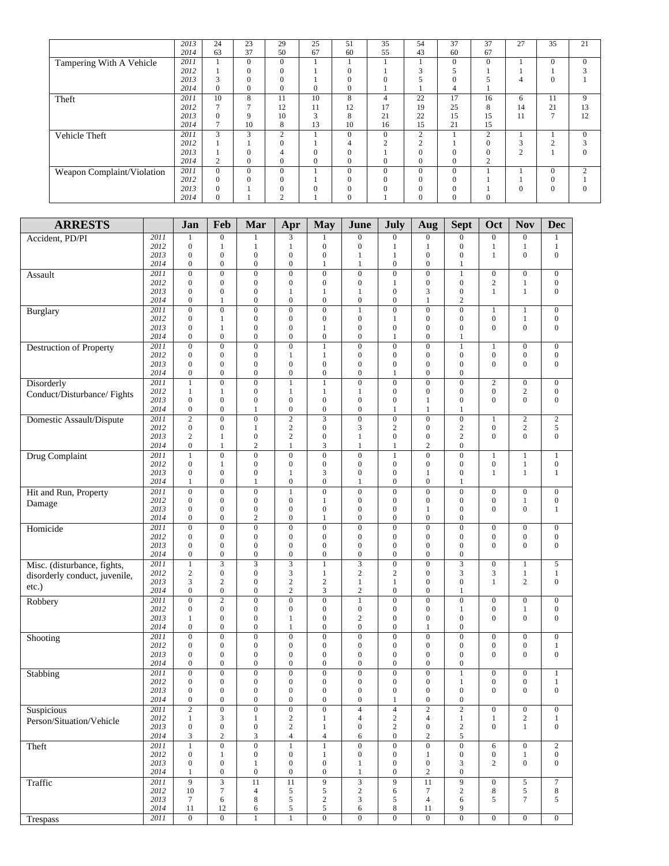|                            | 2013 | 24       | 23           | 29             | 25           | 51           | 35            | 54             | 37       | 37             | 27            | 35       | 21             |
|----------------------------|------|----------|--------------|----------------|--------------|--------------|---------------|----------------|----------|----------------|---------------|----------|----------------|
|                            | 2014 | 63       | 37           | 50             | 67           | 60           | 55            | 43             | 60       | 67             |               |          |                |
| Tampering With A Vehicle   | 2011 |          | $\Omega$     | $\Omega$       |              |              |               |                | $\theta$ | $\mathbf{0}$   |               | $\Omega$ | $\Omega$       |
|                            | 2012 |          | $\Omega$     | $\Omega$       |              |              |               | 3              |          |                |               |          |                |
|                            | 2013 | 3        | $\Omega$     | $\Omega$       |              |              | $\theta$      | 5              | $\theta$ |                | 4             | $\theta$ |                |
|                            | 2014 | 0        | $\Omega$     | $\mathbf{0}$   | $\mathbf{0}$ |              |               |                | 4        |                |               |          |                |
| Theft                      | 2011 | 10       | 8            | 11             | 10           | 8            | 4             | 22             | 17       | 16             | 6             | 11       | 9              |
|                            | 2012 |          |              | 12             | 11           | 12           | 17            | 19             | 25       | 8              | 14            | 21       | 13             |
|                            | 2013 | 0        | 9            | 10             | 3            | $\lambda$    | 21            | 22             | 15       | 15             | 11            | Ξ        | 12             |
|                            | 2014 |          | 10           | 8              | 13           | 10           | 16            | 15             | 21       | 15             |               |          |                |
| Vehicle Theft              | 2011 | 3        | 3            | 2              |              | $\Omega$     | $\mathbf{0}$  | $\overline{2}$ |          | $\overline{2}$ |               |          | $\mathbf{0}$   |
|                            | 2012 |          |              | $\mathbf{0}$   |              |              | $\mathcal{L}$ | ↑              |          | $\mathbf{0}$   | $\sim$<br>3   |          |                |
|                            | 2013 |          | $\mathbf{0}$ | 4              | $\mathbf{0}$ |              |               | $\mathbf{0}$   | $\Omega$ | $\mathbf{0}$   | $\mathcal{L}$ |          | $\Omega$       |
|                            | 2014 | ↑        | $\mathbf{0}$ | $\mathbf{0}$   | $\mathbf{0}$ | $\mathbf{0}$ | $\mathbf{0}$  | $\mathbf{0}$   | $\theta$ | $\overline{2}$ |               |          |                |
| Weapon Complaint/Violation | 2011 | $\Omega$ | $\Omega$     | $\Omega$       |              | $\Omega$     | $\Omega$      | $\Omega$       | $\theta$ |                |               | $\Omega$ | $\overline{c}$ |
|                            | 2012 | 0        | $\Omega$     | $\mathbf{0}$   |              |              | $\mathbf{0}$  | $\Omega$       | $\theta$ |                |               | $\theta$ |                |
|                            | 2013 | 0        |              | $\Omega$       | $\Omega$     |              | $\theta$      | $\Omega$       | $\Omega$ |                | $\theta$      | $\Omega$ | $\Omega$       |
|                            | 2014 | 0        |              | $\overline{2}$ |              |              |               | $\mathbf{0}$   | $\theta$ | $\mathbf{0}$   |               |          |                |

| <b>ARRESTS</b>                         |              | Jan                                     | Feb                                | Mar                                  | Apr                                  | <b>May</b>                           | June                                 | July                                 | Aug                                  | <b>Sept</b>                        | Oct                                  | <b>Nov</b>                           | <b>Dec</b>                           |
|----------------------------------------|--------------|-----------------------------------------|------------------------------------|--------------------------------------|--------------------------------------|--------------------------------------|--------------------------------------|--------------------------------------|--------------------------------------|------------------------------------|--------------------------------------|--------------------------------------|--------------------------------------|
| Accident, PD/PI                        | 2011         | 1                                       | $\mathbf{0}$                       | 1                                    | 3                                    | 1                                    | $\boldsymbol{0}$                     | $\boldsymbol{0}$                     | $\boldsymbol{0}$                     | $\boldsymbol{0}$                   | $\overline{0}$                       | $\boldsymbol{0}$                     | 1                                    |
|                                        | 2012         | $\overline{0}$                          | $\mathbf{1}$                       | $\mathbf{1}$                         | $\mathbf{1}$                         | $\boldsymbol{0}$                     | $\overline{0}$                       | $\mathbf{1}$                         | $\mathbf{1}$                         | $\mathbf{0}$                       | 1                                    | 1                                    | $\mathbf{1}$                         |
|                                        | 2013<br>2014 | $\boldsymbol{0}$<br>$\mathbf{0}$        | $\boldsymbol{0}$<br>$\overline{0}$ | $\overline{0}$<br>$\boldsymbol{0}$   | $\mathbf{0}$<br>$\boldsymbol{0}$     | $\boldsymbol{0}$<br>$\mathbf{1}$     | 1<br>$\mathbf{1}$                    | 1<br>$\boldsymbol{0}$                | $\boldsymbol{0}$<br>$\mathbf{0}$     | $\boldsymbol{0}$<br>$\mathbf{1}$   | 1                                    | $\mathbf{0}$                         | $\overline{0}$                       |
| Assault                                | 2011         | $\overline{0}$                          | $\boldsymbol{0}$                   | $\boldsymbol{0}$                     | $\mathbf{0}$                         | $\boldsymbol{0}$                     | $\mathbf{0}$                         | $\mathbf{0}$                         | $\mathbf{0}$                         | $\mathbf{1}$                       | $\overline{0}$                       | $\boldsymbol{0}$                     | $\boldsymbol{0}$                     |
|                                        | 2012         | $\overline{0}$                          | $\overline{0}$                     | $\overline{0}$                       | $\mathbf{0}$                         | $\mathbf{0}$                         | $\mathbf{0}$                         | $\mathbf{1}$                         | $\mathbf{0}$                         | $\mathbf{0}$                       | $\overline{c}$                       | $\mathbf{1}$                         | $\boldsymbol{0}$                     |
|                                        | 2013         | $\boldsymbol{0}$                        | $\boldsymbol{0}$                   | $\boldsymbol{0}$                     | 1                                    | 1                                    | 1                                    | $\boldsymbol{0}$                     | 3                                    | $\boldsymbol{0}$                   | $\mathbf{1}$                         | $\mathbf{1}$                         | $\mathbf{0}$                         |
|                                        | 2014<br>2011 | $\mathbf{0}$<br>$\boldsymbol{0}$        | 1<br>$\boldsymbol{0}$              | $\boldsymbol{0}$<br>$\boldsymbol{0}$ | $\boldsymbol{0}$<br>$\overline{0}$   | $\boldsymbol{0}$<br>$\boldsymbol{0}$ | $\boldsymbol{0}$<br>1                | $\boldsymbol{0}$<br>$\boldsymbol{0}$ | $\mathbf{1}$<br>$\boldsymbol{0}$     | $\overline{c}$<br>$\boldsymbol{0}$ | 1                                    | $\mathbf{1}$                         | $\boldsymbol{0}$                     |
| <b>Burglary</b>                        | 2012         | $\overline{0}$                          | 1                                  | $\overline{0}$                       | $\mathbf{0}$                         | $\mathbf{0}$                         | $\overline{0}$                       | $\mathbf{1}$                         | $\mathbf{0}$                         | $\mathbf{0}$                       | $\overline{0}$                       | $\mathbf{1}$                         | $\mathbf{0}$                         |
|                                        | 2013         | $\boldsymbol{0}$                        | $\mathbf{1}$                       | $\boldsymbol{0}$                     | $\boldsymbol{0}$                     | $\mathbf{1}$                         | $\boldsymbol{0}$                     | $\boldsymbol{0}$                     | $\mathbf{0}$                         | $\boldsymbol{0}$                   | $\mathbf{0}$                         | $\mathbf{0}$                         | $\boldsymbol{0}$                     |
|                                        | 2014         | $\mathbf{0}$                            | $\overline{0}$                     | $\overline{0}$                       | $\boldsymbol{0}$                     | $\boldsymbol{0}$                     | $\mathbf{0}$                         | $\mathbf{1}$                         | $\mathbf{0}$                         | $\mathbf{1}$                       |                                      |                                      |                                      |
| <b>Destruction of Property</b>         | 2011<br>2012 | $\overline{0}$<br>$\mathbf{0}$          | $\overline{0}$<br>$\boldsymbol{0}$ | $\overline{0}$<br>$\boldsymbol{0}$   | $\overline{0}$<br>$\mathbf{1}$       | $\mathbf{1}$<br>$\mathbf{1}$         | $\overline{0}$<br>$\boldsymbol{0}$   | $\overline{0}$<br>$\boldsymbol{0}$   | $\overline{0}$<br>$\boldsymbol{0}$   | $\mathbf{1}$<br>$\boldsymbol{0}$   | $\mathbf{1}$<br>$\boldsymbol{0}$     | $\boldsymbol{0}$<br>$\boldsymbol{0}$ | $\boldsymbol{0}$<br>$\boldsymbol{0}$ |
|                                        | 2013         | $\mathbf{0}$                            | $\mathbf{0}$                       | $\mathbf{0}$                         | $\boldsymbol{0}$                     | $\boldsymbol{0}$                     | $\mathbf{0}$                         | $\mathbf{0}$                         | $\mathbf{0}$                         | $\mathbf{0}$                       | $\mathbf{0}$                         | $\mathbf{0}$                         | $\mathbf{0}$                         |
|                                        | 2014         | $\boldsymbol{0}$                        | $\boldsymbol{0}$                   | $\boldsymbol{0}$                     | $\boldsymbol{0}$                     | $\boldsymbol{0}$                     | $\mathbf{0}$                         | $\mathbf{1}$                         | $\boldsymbol{0}$                     | $\boldsymbol{0}$                   |                                      |                                      |                                      |
| Disorderly                             | 2011         | $\mathbf{1}$                            | $\overline{0}$                     | $\overline{0}$                       | $\mathbf{1}$                         | $\overline{1}$                       | $\overline{0}$                       | $\overline{0}$                       | $\overline{0}$                       | $\overline{0}$                     | $\overline{2}$                       | $\overline{0}$                       | $\boldsymbol{0}$                     |
| Conduct/Disturbance/Fights             | 2012<br>2013 | 1<br>$\overline{0}$                     | 1<br>$\overline{0}$                | $\mathbf{0}$<br>$\overline{0}$       | $\mathbf{1}$<br>$\mathbf{0}$         | 1<br>$\mathbf{0}$                    | 1<br>$\overline{0}$                  | $\boldsymbol{0}$<br>$\boldsymbol{0}$ | $\boldsymbol{0}$<br>$\mathbf{1}$     | $\mathbf{0}$<br>$\mathbf{0}$       | $\overline{0}$<br>$\overline{0}$     | $\sqrt{2}$<br>$\mathbf{0}$           | $\boldsymbol{0}$<br>$\mathbf{0}$     |
|                                        | 2014         | $\boldsymbol{0}$                        | $\boldsymbol{0}$                   | 1                                    | $\boldsymbol{0}$                     | $\boldsymbol{0}$                     | $\mathbf{0}$                         | $\mathbf{1}$                         | $\mathbf{1}$                         | 1                                  |                                      |                                      |                                      |
| Domestic Assault/Dispute               | 2011         | $\overline{2}$                          | $\overline{0}$                     | $\overline{0}$                       | $\overline{2}$                       | $\overline{3}$                       | $\overline{0}$                       | $\overline{0}$                       | $\overline{0}$                       | $\overline{0}$                     | 1                                    | $\overline{2}$                       | $\sqrt{2}$                           |
|                                        | 2012         | $\boldsymbol{0}$                        | $\boldsymbol{0}$                   | $\mathbf{1}$                         | $\mathbf{2}$                         | $\boldsymbol{0}$                     | 3                                    | $\overline{2}$                       | $\boldsymbol{0}$                     | $\overline{c}$                     | $\boldsymbol{0}$                     | $\overline{c}$                       | 5                                    |
|                                        | 2013         | $\mathbf{2}$                            | $\mathbf{1}$                       | $\overline{0}$                       | $\overline{2}$                       | $\boldsymbol{0}$                     | $\mathbf{1}$                         | $\mathbf{0}$                         | $\mathbf{0}$                         | $\overline{c}$                     | $\overline{0}$                       | $\mathbf{0}$                         | $\mathbf{0}$                         |
|                                        | 2014         | $\boldsymbol{0}$                        | $\mathbf{1}$                       | $\mathfrak{2}$                       | $\mathbf{1}$                         | 3                                    | $\mathbf{1}$                         | $\mathbf{1}$                         | $\overline{2}$                       | $\boldsymbol{0}$                   |                                      |                                      |                                      |
| Drug Complaint                         | 2011<br>2012 | $\mathbf{1}$<br>$\mathbf{0}$            | $\boldsymbol{0}$<br>$\mathbf{1}$   | $\overline{0}$<br>$\mathbf{0}$       | $\overline{0}$<br>$\boldsymbol{0}$   | $\overline{0}$<br>$\boldsymbol{0}$   | $\overline{0}$<br>$\boldsymbol{0}$   | $\mathbf{1}$<br>$\boldsymbol{0}$     | $\boldsymbol{0}$<br>$\mathbf{0}$     | $\overline{0}$<br>$\mathbf{0}$     | 1<br>$\boldsymbol{0}$                | $\mathbf{1}$<br>$\mathbf{1}$         | $\mathbf{1}$<br>$\boldsymbol{0}$     |
|                                        | 2013         | $\overline{0}$                          | $\mathbf{0}$                       | $\overline{0}$                       | $\mathbf{1}$                         | $\mathfrak{Z}$                       | $\mathbf{0}$                         | $\mathbf{0}$                         | $\mathbf{1}$                         | $\mathbf{0}$                       | 1                                    | $\mathbf{1}$                         | $\mathbf{1}$                         |
|                                        | 2014         | 1                                       | $\overline{0}$                     | 1                                    | $\mathbf{0}$                         | $\mathbf{0}$                         | 1                                    | $\mathbf{0}$                         | $\mathbf{0}$                         | 1                                  |                                      |                                      |                                      |
| Hit and Run, Property                  | 2011         | $\overline{0}$                          | $\mathbf{0}$                       | $\boldsymbol{0}$                     | $\mathbf{1}$                         | $\overline{0}$                       | $\boldsymbol{0}$                     | $\overline{0}$                       | $\overline{0}$                       | $\boldsymbol{0}$                   | $\overline{0}$                       | $\mathbf{0}$                         | $\boldsymbol{0}$                     |
| Damage                                 | 2012<br>2013 | $\boldsymbol{0}$<br>$\mathbf{0}$        | $\overline{0}$<br>$\mathbf{0}$     | $\boldsymbol{0}$<br>$\mathbf{0}$     | $\boldsymbol{0}$<br>$\mathbf{0}$     | $\mathbf{1}$<br>$\mathbf{0}$         | $\mathbf{0}$<br>$\mathbf{0}$         | $\boldsymbol{0}$<br>$\mathbf{0}$     | $\mathbf{0}$<br>1                    | $\mathbf{0}$<br>$\mathbf{0}$       | $\boldsymbol{0}$<br>$\mathbf{0}$     | $\mathbf{1}$<br>$\mathbf{0}$         | $\boldsymbol{0}$                     |
|                                        | 2014         | $\mathbf{0}$                            | $\overline{0}$                     | $\mathbf{2}$                         | $\boldsymbol{0}$                     | $\mathbf{1}$                         | $\boldsymbol{0}$                     | $\boldsymbol{0}$                     | $\mathbf{0}$                         | $\mathbf{0}$                       |                                      |                                      | 1                                    |
| Homicide                               | 2011         | $\boldsymbol{0}$                        | $\boldsymbol{0}$                   | $\boldsymbol{0}$                     | $\boldsymbol{0}$                     | $\boldsymbol{0}$                     | $\mathbf{0}$                         | $\boldsymbol{0}$                     | $\mathbf{0}$                         | $\boldsymbol{0}$                   | $\boldsymbol{0}$                     | $\boldsymbol{0}$                     | $\boldsymbol{0}$                     |
|                                        | 2012         | $\mathbf{0}$                            | $\boldsymbol{0}$                   | $\mathbf{0}$                         | $\mathbf{0}$                         | $\boldsymbol{0}$                     | $\boldsymbol{0}$                     | $\boldsymbol{0}$                     | $\mathbf{0}$                         | $\mathbf{0}$                       | $\boldsymbol{0}$                     | $\boldsymbol{0}$                     | $\boldsymbol{0}$                     |
|                                        | 2013<br>2014 | $\mathbf{0}$<br>$\mathbf{0}$            | $\mathbf{0}$<br>$\mathbf{0}$       | $\mathbf{0}$<br>$\mathbf{0}$         | $\boldsymbol{0}$<br>$\mathbf{0}$     | $\boldsymbol{0}$<br>$\mathbf{0}$     | $\mathbf{0}$<br>$\mathbf{0}$         | $\boldsymbol{0}$<br>$\mathbf{0}$     | $\mathbf{0}$<br>$\mathbf{0}$         | $\mathbf{0}$<br>$\mathbf{0}$       | $\mathbf{0}$                         | $\mathbf{0}$                         | $\mathbf{0}$                         |
| Misc. (disturbance, fights,            | 2011         | $\mathbf{1}$                            |                                    |                                      | $\overline{\overline{3}}$            | $\mathbf{1}$                         | $\overline{\mathbf{3}}$              | $\overline{0}$                       | $\overline{0}$                       | $\overline{\mathbf{3}}$            | $\overline{0}$                       | $\mathbf{1}$                         | 5                                    |
| disorderly conduct, juvenile,          | 2012         | $\mathbf{2}$                            | $\boldsymbol{0}$                   | $\boldsymbol{0}$                     | $\mathfrak{Z}$                       | $\mathbf{1}$                         | $\overline{c}$                       | $\overline{2}$                       | $\boldsymbol{0}$                     | $\mathfrak{Z}$                     | 3                                    | $\mathbf{1}$                         | $\mathbf{1}$                         |
| etc.)                                  | 2013         | 3                                       | $\overline{c}$                     | $\mathbf{0}$                         | $\sqrt{2}$                           | $\boldsymbol{2}$                     | $\mathbf{1}$                         | $\mathbf{1}$                         | $\boldsymbol{0}$                     | $\mathbf{0}$                       | $\mathbf{1}$                         | $\overline{c}$                       | $\mathbf{0}$                         |
|                                        | 2014         | $\overline{0}$                          | $\boldsymbol{0}$                   | $\overline{0}$                       | $\overline{c}$                       | 3                                    | $\overline{c}$                       | $\boldsymbol{0}$                     | $\mathbf{0}$                         | $\mathbf{1}$                       |                                      |                                      |                                      |
| Robbery                                | 2011<br>2012 | $\overline{0}$<br>$\boldsymbol{0}$      | $\overline{c}$<br>$\boldsymbol{0}$ | $\overline{0}$<br>$\boldsymbol{0}$   | $\mathbf{0}$<br>$\boldsymbol{0}$     | $\boldsymbol{0}$<br>$\boldsymbol{0}$ | $\mathbf{1}$<br>$\mathbf{0}$         | $\overline{0}$<br>$\boldsymbol{0}$   | $\mathbf{0}$<br>$\boldsymbol{0}$     | $\mathbf{0}$<br>1                  | $\boldsymbol{0}$<br>$\boldsymbol{0}$ | $\boldsymbol{0}$<br>$\mathbf{1}$     | $\boldsymbol{0}$<br>$\boldsymbol{0}$ |
|                                        | 2013         | $\mathbf{1}$                            | $\boldsymbol{0}$                   | $\boldsymbol{0}$                     | $\mathbf{1}$                         | $\boldsymbol{0}$                     | $\overline{c}$                       | $\boldsymbol{0}$                     | $\mathbf{0}$                         | $\mathbf{0}$                       | $\mathbf{0}$                         | $\mathbf{0}$                         | $\mathbf{0}$                         |
|                                        | 2014         | $\mathbf{0}$                            | $\overline{0}$                     | $\overline{0}$                       | $\mathbf{1}$                         | $\boldsymbol{0}$                     | $\mathbf{0}$                         | $\mathbf{0}$                         | $\mathbf{1}$                         | $\mathbf{0}$                       |                                      |                                      |                                      |
| Shooting                               | 2011         | $\overline{0}$                          | $\overline{0}$                     | $\overline{0}$                       | $\mathbf{0}$                         | $\overline{0}$                       | $\overline{0}$                       | $\overline{0}$                       | $\mathbf{0}$                         | $\mathbf{0}$                       | $\overline{0}$                       | $\overline{0}$                       | $\boldsymbol{0}$                     |
|                                        | 2012<br>2013 | $\boldsymbol{0}$<br>$\mathbf{0}$        | $\boldsymbol{0}$<br>$\mathbf{0}$   | $\boldsymbol{0}$<br>$\boldsymbol{0}$ | $\boldsymbol{0}$<br>$\boldsymbol{0}$ | $\boldsymbol{0}$<br>$\boldsymbol{0}$ | $\boldsymbol{0}$<br>$\boldsymbol{0}$ | $\boldsymbol{0}$<br>$\boldsymbol{0}$ | $\boldsymbol{0}$<br>$\boldsymbol{0}$ | $\mathbf{0}$<br>$\mathbf{0}$       | $\boldsymbol{0}$<br>$\overline{0}$   | $\boldsymbol{0}$<br>$\mathbf{0}$     | $\mathbf{1}$<br>$\boldsymbol{0}$     |
|                                        | 2014         | $\boldsymbol{0}$                        | $\boldsymbol{0}$                   | $\boldsymbol{0}$                     | $\boldsymbol{0}$                     | $\boldsymbol{0}$                     | $\mathbf{0}$                         | $\boldsymbol{0}$                     | $\boldsymbol{0}$                     | $\boldsymbol{0}$                   |                                      |                                      |                                      |
| Stabbing                               | 2011         | $\overline{0}$                          | $\overline{0}$                     | $\overline{0}$                       | $\overline{0}$                       | $\overline{0}$                       | $\overline{0}$                       | $\overline{0}$                       | $\overline{0}$                       | $\overline{1}$                     | $\overline{0}$                       | $\overline{0}$                       | $\mathbf{1}$                         |
|                                        | 2012         | $\boldsymbol{0}$                        | $\boldsymbol{0}$                   | $\boldsymbol{0}$                     | $\boldsymbol{0}$                     | $\boldsymbol{0}$                     | $\boldsymbol{0}$                     | $\boldsymbol{0}$                     | $\boldsymbol{0}$                     | 1                                  | $\boldsymbol{0}$                     | $\boldsymbol{0}$                     | 1                                    |
|                                        | 2013         | $\overline{0}$                          | $\mathbf{0}$                       | $\mathbf{0}$                         | $\mathbf{0}$                         | $\mathbf{0}$                         | $\boldsymbol{0}$                     | $\mathbf{0}$                         | $\mathbf{0}$                         | $\mathbf{0}$                       | $\overline{0}$                       | $\overline{0}$                       | $\mathbf{0}$                         |
|                                        | 2014<br>2011 | $\mathbf{0}$<br>$\overline{\mathbf{c}}$ | $\mathbf{0}$<br>$\boldsymbol{0}$   | $\mathbf{0}$<br>$\boldsymbol{0}$     | $\mathbf{0}$<br>$\boldsymbol{0}$     | $\boldsymbol{0}$<br>$\boldsymbol{0}$ | $\mathbf{0}$                         | 1                                    | $\mathbf{0}$<br>$\boldsymbol{2}$     | $\mathbf{0}$<br>$\boldsymbol{2}$   | $\boldsymbol{0}$                     | $\boldsymbol{0}$                     | $\boldsymbol{0}$                     |
| Suspicious<br>Person/Situation/Vehicle | 2012         | $\mathbf{1}$                            | 3                                  | $\mathbf{1}$                         | $\sqrt{2}$                           | $\mathbf{1}$                         | 4<br>$\overline{4}$                  | 4<br>$\sqrt{2}$                      | $\overline{4}$                       | $\mathbf{1}$                       | $\mathbf{1}$                         | $\overline{\mathbf{c}}$              | $\mathbf{1}$                         |
|                                        | 2013         | $\boldsymbol{0}$                        | $\boldsymbol{0}$                   | $\boldsymbol{0}$                     | $\sqrt{2}$                           | $\mathbf{1}$                         | $\boldsymbol{0}$                     | $\mathbf{2}$                         | $\boldsymbol{0}$                     | $\sqrt{2}$                         | $\overline{0}$                       | $\mathbf{1}$                         | $\boldsymbol{0}$                     |
|                                        | 2014         | 3                                       | $\overline{c}$                     | 3                                    | $\overline{4}$                       | $\overline{4}$                       | 6                                    | $\boldsymbol{0}$                     | $\sqrt{2}$                           | 5                                  |                                      |                                      |                                      |
| Theft                                  | 2011         | $\mathbf{1}$                            | $\overline{0}$                     | $\overline{0}$                       | $\mathbf{1}$                         | $\overline{1}$                       | $\overline{0}$                       | $\overline{0}$                       | $\overline{0}$                       | $\overline{0}$                     | 6                                    | $\overline{0}$                       | $\overline{2}$                       |
|                                        | 2012<br>2013 | $\boldsymbol{0}$<br>$\boldsymbol{0}$    | $\mathbf{1}$<br>$\boldsymbol{0}$   | $\boldsymbol{0}$<br>1                | $\boldsymbol{0}$<br>$\boldsymbol{0}$ | $\mathbf{1}$<br>$\boldsymbol{0}$     | $\boldsymbol{0}$<br>$\mathbf{1}$     | $\boldsymbol{0}$<br>$\boldsymbol{0}$ | $\mathbf{1}$<br>$\boldsymbol{0}$     | $\boldsymbol{0}$<br>$\mathfrak{Z}$ | $\boldsymbol{0}$<br>$\overline{c}$   | $\mathbf{1}$<br>$\boldsymbol{0}$     | $\boldsymbol{0}$<br>$\boldsymbol{0}$ |
|                                        | 2014         | 1                                       | $\boldsymbol{0}$                   | $\boldsymbol{0}$                     | $\boldsymbol{0}$                     | $\boldsymbol{0}$                     | $\mathbf{1}$                         | $\boldsymbol{0}$                     | $\sqrt{2}$                           | $\boldsymbol{0}$                   |                                      |                                      |                                      |
| Traffic                                | 2011         | 9                                       | $\overline{3}$                     | $\overline{11}$                      | 11                                   | $\overline{9}$                       | $\overline{\mathbf{3}}$              | $\boldsymbol{9}$                     | 11                                   | $\overline{9}$                     | $\boldsymbol{0}$                     | $\sqrt{5}$                           | $\tau$                               |
|                                        | 2012         | $10\,$                                  | $\tau$                             | $\overline{4}$                       | $\sqrt{5}$                           | $\sqrt{5}$                           | $\sqrt{2}$                           | 6                                    | $\boldsymbol{7}$                     | $\sqrt{2}$                         | 8                                    | 5                                    | 8                                    |
|                                        | 2013<br>2014 | $\tau$<br>$11\,$                        | 6<br>12                            | 8<br>6                               | $\mathfrak s$<br>$\sqrt{5}$          | $\sqrt{2}$<br>$\sqrt{5}$             | $\ensuremath{\mathfrak{Z}}$<br>6     | $\sqrt{5}$<br>$\,$ 8 $\,$            | $\overline{4}$                       | 6<br>9                             | 5                                    | $\boldsymbol{7}$                     | 5                                    |
| Trespass                               | 2011         | $\overline{0}$                          | $\boldsymbol{0}$                   | $\mathbf{1}$                         | $\,1$                                | $\overline{0}$                       | $\overline{0}$                       | $\overline{0}$                       | 11<br>$\overline{0}$                 | $\boldsymbol{0}$                   | $\overline{0}$                       | $\overline{0}$                       | $\boldsymbol{0}$                     |
|                                        |              |                                         |                                    |                                      |                                      |                                      |                                      |                                      |                                      |                                    |                                      |                                      |                                      |